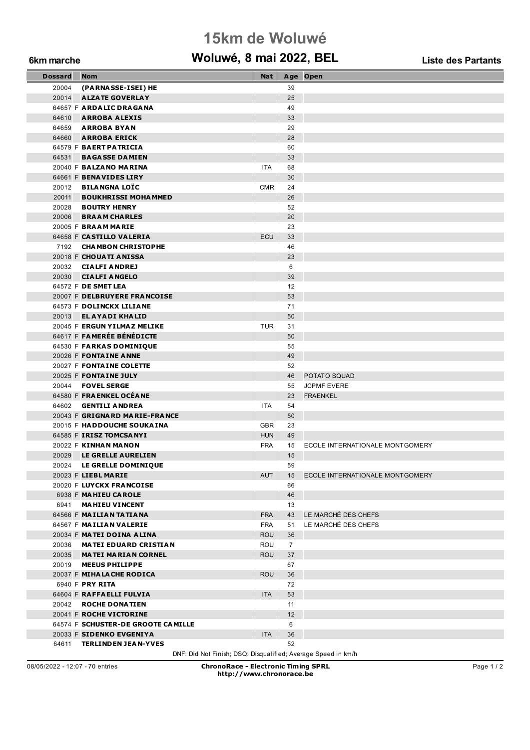## **15km de Woluwé**

### **6km marche Woluwé, 8 mai 2022, BEL Liste des Partants**

| <b>Dossard</b> | <b>Nom</b>                                          | <b>Nat</b> |                | Age Open                           |
|----------------|-----------------------------------------------------|------------|----------------|------------------------------------|
| 20004          | (PARNASSE-ISEI) HE                                  |            | 39             |                                    |
| 20014          | <b>ALZATE GOVERLAY</b>                              |            | 25             |                                    |
|                | 64657 F ARDALIC DRAGANA                             |            | 49             |                                    |
| 64610          | <b>ARROBA ALEXIS</b>                                |            | 33             |                                    |
|                | 64659 ARROBA BYAN                                   |            | 29             |                                    |
|                | 64660 ARROBA ERICK                                  |            | 28             |                                    |
|                | 64579 F BAERT PATRICIA                              |            | 60             |                                    |
|                | 64531 BAGASSE DAMIEN                                |            | 33             |                                    |
|                | 20040 F BALZANO MARINA                              | <b>ITA</b> | 68             |                                    |
|                | 64661 F BENAVIDES LIRY                              |            | 30             |                                    |
|                | 20012 BILANGNA LOÏC                                 | <b>CMR</b> | 24             |                                    |
| 20011          | <b>BOUKHRISSI MOHAMMED</b>                          |            | 26             |                                    |
|                | 20028 <b>BOUTRY HENRY</b>                           |            | 52             |                                    |
|                | 20006 BRAAM CHARLES                                 |            | 20             |                                    |
|                | 20005 F BRAAM MARIE                                 |            | 23             |                                    |
|                | 64658 F CASTILLO VALERIA                            | ECU        | 33             |                                    |
|                | 7192 CHAMBON CHRISTOPHE                             |            | 46             |                                    |
|                | 20018 F CHOUATI ANISSA                              |            | 23             |                                    |
|                | 20032 CIALFI ANDREJ                                 |            | 6              |                                    |
|                | 20030 CIALFI ANGELO                                 |            | 39<br>12       |                                    |
|                | 64572 F DE SMET LEA<br>20007 F DELBRUYERE FRANCOISE |            | 53             |                                    |
|                | 64573 F DOLINCKX LILIANE                            |            | 71             |                                    |
|                | 20013 <b>ELAYADI KHALID</b>                         |            | 50             |                                    |
|                | 20045 F ERGUN YILMAZ MELIKE                         | <b>TUR</b> | 31             |                                    |
|                | 64617 F FAMERÉE BÉNÉDICTE                           |            | 50             |                                    |
|                | 64530 F FARKAS DOMINIQUE                            |            | 55             |                                    |
|                | 20026 F FONTAINE ANNE                               |            | 49             |                                    |
|                | 20027 F FONTAINE COLETTE                            |            | 52             |                                    |
|                | 20025 F FONTAINE JULY                               |            | 46             | POTATO SQUAD                       |
|                | 20044 <b>FOVEL SERGE</b>                            |            | 55             | <b>JCPMF EVERE</b>                 |
|                | 64580 F FRAENKEL OCEANE                             |            | 23             | <b>FRAENKEL</b>                    |
|                | 64602 <b>GENTILI ANDREA</b>                         | <b>ITA</b> | 54             |                                    |
|                | 20043 F GRIGNARD MARIE-FRANCE                       |            | 50             |                                    |
|                | 20015 F HADDOUCHE SOUKAINA                          | <b>GBR</b> | 23             |                                    |
|                | 64585 F IRISZ TOMCSANYI                             | <b>HUN</b> | 49             |                                    |
|                | 20022 F KINHAN MANON                                | <b>FRA</b> | 15             | ECOLE INTERNATIONALE MONTGOMERY    |
| 20029          | LE GRELLE AURELIEN                                  |            | 15             |                                    |
|                | 20024 LE GRELLE DOMINIQUE                           |            | 59             |                                    |
|                | 20023 F LIEBL MARIE                                 | AUT        |                | 15 ECOLE INTERNATIONALE MONTGOMERY |
|                | 20020 F LUYCKX FRANCOISE                            |            | 66             |                                    |
|                | 6938 F MAHIEU CAROLE                                |            | 46             |                                    |
|                | 6941 MAHIEU VINCENT                                 |            | 13             |                                    |
|                | 64566 F MAILIAN TATIANA                             | <b>FRA</b> | 43             | LE MARCHÉ DES CHEFS                |
|                | 64567 F MAILIAN VALERIE                             | <b>FRA</b> | 51             | LE MARCHÉ DES CHEFS                |
|                | 20034 F MATEI DOINA ALINA                           | <b>ROU</b> | 36             |                                    |
|                | 20036 MATEI EDUARD CRISTIAN                         | ROU        | $\overline{7}$ |                                    |
|                | 20035 MATEI MARIAN CORNEL<br>20019 MEEUS PHILIPPE   | <b>ROU</b> | 37<br>67       |                                    |
|                | 20037 F MIHALACHE RODICA                            | <b>ROU</b> | 36             |                                    |
|                | 6940 F PRY RITA                                     |            | 72             |                                    |
|                | 64604 F RAFFAELLI FULVIA                            | <b>ITA</b> | 53             |                                    |
|                | 20042 ROCHE DONATIEN                                |            | 11             |                                    |
|                | 20041 F ROCHE VICTORINE                             |            | 12             |                                    |
|                | 64574 F SCHUSTER-DE GROOTE CAMILLE                  |            | 6              |                                    |
|                | 20033 F SIDENKO EVGENIYA                            | ITA.       | 36             |                                    |
|                | 64611 TERLINDEN JEAN-YVES                           |            | 52             |                                    |

DNF: Did Not Finish; DSQ: Disqualified; Average Speed in km/h

08/05/2022 - 12:07 - 70 entries **ChronoRace - Electronic Timing SPRL http://www.chronorace.be**